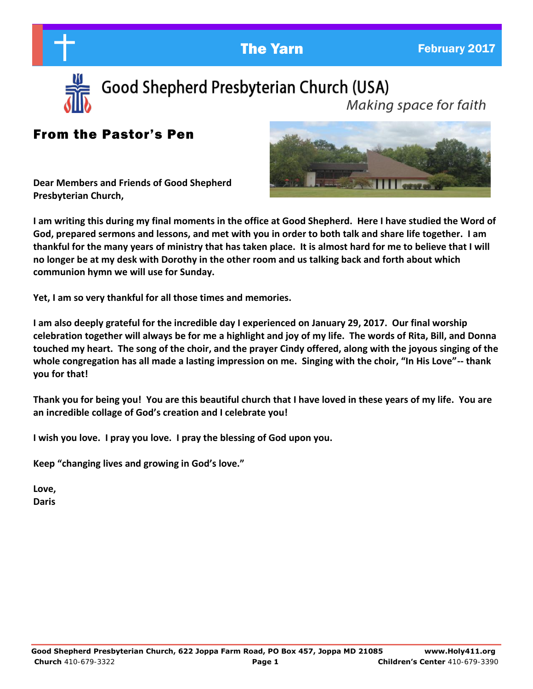

Good Shepherd Presbyterian Church (USA)

Making space for faith

## From the Pastor's Pen

**Dear Members and Friends of Good Shepherd Presbyterian Church,** 



**I am writing this during my final moments in the office at Good Shepherd. Here I have studied the Word of God, prepared sermons and lessons, and met with you in order to both talk and share life together. I am thankful for the many years of ministry that has taken place. It is almost hard for me to believe that I will no longer be at my desk with Dorothy in the other room and us talking back and forth about which communion hymn we will use for Sunday.** 

**Yet, I am so very thankful for all those times and memories.** 

**I am also deeply grateful for the incredible day I experienced on January 29, 2017. Our final worship celebration together will always be for me a highlight and joy of my life. The words of Rita, Bill, and Donna touched my heart. The song of the choir, and the prayer Cindy offered, along with the joyous singing of the whole congregation has all made a lasting impression on me. Singing with the choir, "In His Love"-- thank you for that!** 

**Thank you for being you! You are this beautiful church that I have loved in these years of my life. You are an incredible collage of God's creation and I celebrate you!**

**I wish you love. I pray you love. I pray the blessing of God upon you.** 

**Keep "changing lives and growing in God's love."**

**Love, Daris**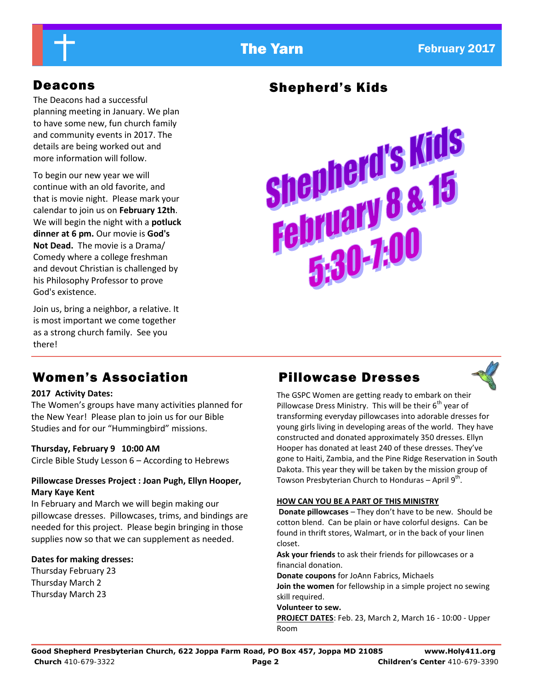The Deacons had a successful planning meeting in January. We plan to have some new, fun church family and community events in 2017. The details are being worked out and more information will follow.

To begin our new year we will continue with an old favorite, and that is movie night. Please mark your calendar to join us on **February 12th**. We will begin the night with a **potluck dinner at 6 pm.** Our movie is **God's Not Dead.** The movie is a Drama/ Comedy where a college freshman and devout Christian is challenged by his Philosophy Professor to prove God's existence.

Join us, bring a neighbor, a relative. It is most important we come together as a strong church family. See you there!

# Deacons Shepherd's Kids



# Women's Association **Pillowcase Dresses**

### **2017 Activity Dates:**

The Women's groups have many activities planned for the New Year! Please plan to join us for our Bible Studies and for our "Hummingbird" missions.

### **Thursday, February 9 10:00 AM**

Circle Bible Study Lesson 6 – According to Hebrews

### **Pillowcase Dresses Project : Joan Pugh, Ellyn Hooper, Mary Kaye Kent**

In February and March we will begin making our pillowcase dresses. Pillowcases, trims, and bindings are needed for this project. Please begin bringing in those supplies now so that we can supplement as needed.

### **Dates for making dresses:**

Thursday February 23 Thursday March 2 Thursday March 23



The GSPC Women are getting ready to embark on their Pillowcase Dress Ministry. This will be their  $6<sup>th</sup>$  year of transforming everyday pillowcases into adorable dresses for young girls living in developing areas of the world. They have constructed and donated approximately 350 dresses. Ellyn Hooper has donated at least 240 of these dresses. They've gone to Haiti, Zambia, and the Pine Ridge Reservation in South Dakota. This year they will be taken by the mission group of Towson Presbyterian Church to Honduras – April  $9^{th}$ .

### **HOW CAN YOU BE A PART OF THIS MINISTRY**

**Donate pillowcases** – They don't have to be new. Should be cotton blend. Can be plain or have colorful designs. Can be found in thrift stores, Walmart, or in the back of your linen closet.

**Ask your friends** to ask their friends for pillowcases or a financial donation.

**Donate coupons** for JoAnn Fabrics, Michaels **Join the women** for fellowship in a simple project no sewing skill required.

### **Volunteer to sew.**

**PROJECT DATES**: Feb. 23, March 2, March 16 - 10:00 - Upper Room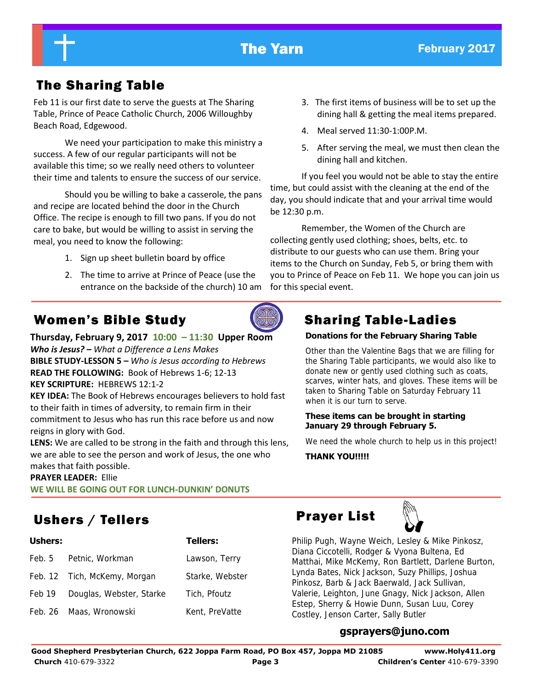

# The Sharing Table

Feb 11 is our first date to serve the guests at The Sharing Table, Prince of Peace Catholic Church, 2006 Willoughby Beach Road, Edgewood.

We need your participation to make this ministry a success. A few of our regular participants will not be available this time; so we really need others to volunteer their time and talents to ensure the success of our service.

Should you be willing to bake a casserole, the pans and recipe are located behind the door in the Church Office. The recipe is enough to fill two pans. If you do not care to bake, but would be willing to assist in serving the meal, you need to know the following:

- 1. Sign up sheet bulletin board by office
- 2. The time to arrive at Prince of Peace (use the entrance on the backside of the church) 10 am

# Women's Bible Study **Sharing Table-Ladies**

**Thursday, February 9, 2017 10:00 – 11:30 Upper Room**  *Who is Jesus? – What a Difference a Lens Makes*  **BIBLE STUDY-LESSON 5 –** *Who is Jesus according to Hebrews*  **READ THE FOLLOWING:** Book of Hebrews 1-6; 12-13 **KEY SCRIPTURE:** HEBREWS 12:1-2

**KEY IDEA:** The Book of Hebrews encourages believers to hold fast to their faith in times of adversity, to remain firm in their commitment to Jesus who has run this race before us and now reigns in glory with God.

**LENS:** We are called to be strong in the faith and through this lens, we are able to see the person and work of Jesus, the one who makes that faith possible.

### **PRAYER LEADER:** Ellie

**WE WILL BE GOING OUT FOR LUNCH-DUNKIN' DONUTS**

# Ushers / Tellers **Prayer List**

| <b>Ushers:</b> |                              | <b>Tellers:</b> |
|----------------|------------------------------|-----------------|
| Feb. 5         | Petnic, Workman              | Lawson, Terry   |
|                | Feb. 12 Tich, McKemy, Morgan | Starke, Webster |
| Feb 19         | Douglas, Webster, Starke     | Tich, Pfoutz    |
|                | Feb. 26 Maas, Wronowski      | Kent, PreVatte  |



- 4. Meal served 11:30-1:00P.M.
- 5. After serving the meal, we must then clean the dining hall and kitchen.

If you feel you would not be able to stay the entire time, but could assist with the cleaning at the end of the day, you should indicate that and your arrival time would be 12:30 p.m.

Remember, the Women of the Church are collecting gently used clothing; shoes, belts, etc. to distribute to our guests who can use them. Bring your items to the Church on Sunday, Feb 5, or bring them with you to Prince of Peace on Feb 11. We hope you can join us for this special event.

### **Donations for the February Sharing Table**

Other than the Valentine Bags that we are filling for the Sharing Table participants, we would also like to donate new or gently used clothing such as coats, scarves, winter hats, and gloves. These items will be taken to Sharing Table on Saturday February 11 when it is our turn to serve.

### **These items can be brought in starting January 29 through February 5.**

We need the whole church to help us in this project!

### **THANK YOU!!!!!**



Philip Pugh, Wayne Weich, Lesley & Mike Pinkosz, Diana Ciccotelli, Rodger & Vyona Bultena, Ed Matthai, Mike McKemy, Ron Bartlett, Darlene Burton, Lynda Bates, Nick Jackson, Suzy Phillips, Joshua Pinkosz, Barb & Jack Baerwald, Jack Sullivan, Valerie, Leighton, June Gnagy, Nick Jackson, Allen Estep, Sherry & Howie Dunn, Susan Luu, Corey Costley, Jenson Carter, Sally Butler

### **gsprayers@juno.com**